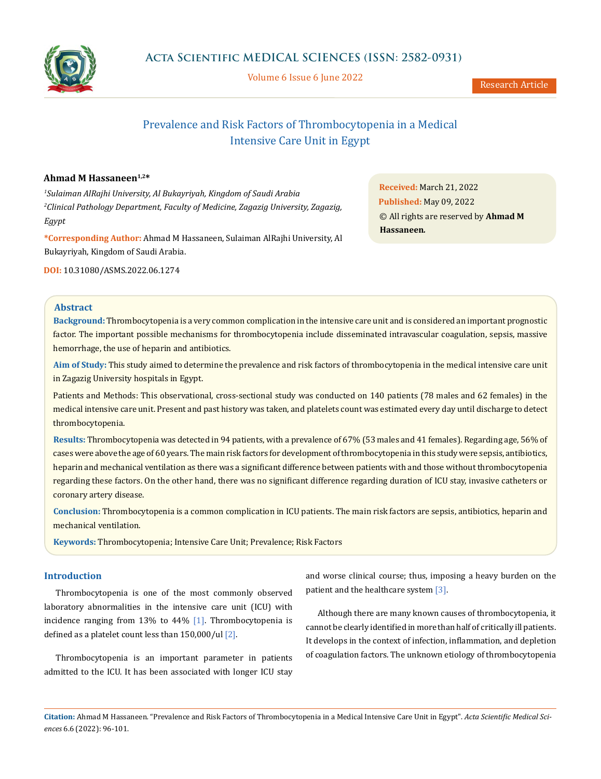

Volume 6 Issue 6 June 2022

Research Article

# Prevalence and Risk Factors of Thrombocytopenia in a Medical Intensive Care Unit in Egypt

# Ahmad M Hassaneen<sup>1,2\*</sup>

*1 Sulaiman AlRajhi University, Al Bukayriyah, Kingdom of Saudi Arabia 2 Clinical Pathology Department, Faculty of Medicine, Zagazig University, Zagazig, Egypt*

**\*Corresponding Author:** Ahmad M Hassaneen, Sulaiman AlRajhi University, Al Bukayriyah, Kingdom of Saudi Arabia.

**DOI:** [10.31080/ASMS.2022.06.1274](http://actascientific.com/ASMS/pdf/ASMS-06-1274.pdf)

**Received:** March 21, 2022 **Published:** May 09, 2022 © All rights are reserved by **Ahmad M Hassaneen***.*

### **Abstract**

**Background:** Thrombocytopenia is a very common complication in the intensive care unit and is considered an important prognostic factor. The important possible mechanisms for thrombocytopenia include disseminated intravascular coagulation, sepsis, massive hemorrhage, the use of heparin and antibiotics.

**Aim of Study:** This study aimed to determine the prevalence and risk factors of thrombocytopenia in the medical intensive care unit in Zagazig University hospitals in Egypt.

Patients and Methods: This observational, cross-sectional study was conducted on 140 patients (78 males and 62 females) in the medical intensive care unit. Present and past history was taken, and platelets count was estimated every day until discharge to detect thrombocytopenia.

**Results:** Thrombocytopenia was detected in 94 patients, with a prevalence of 67% (53 males and 41 females). Regarding age, 56% of cases were above the age of 60 years. The main risk factors for development of thrombocytopenia in this study were sepsis, antibiotics, heparin and mechanical ventilation as there was a significant difference between patients with and those without thrombocytopenia regarding these factors. On the other hand, there was no significant difference regarding duration of ICU stay, invasive catheters or coronary artery disease.

**Conclusion:** Thrombocytopenia is a common complication in ICU patients. The main risk factors are sepsis, antibiotics, heparin and mechanical ventilation.

**Keywords:** Thrombocytopenia; Intensive Care Unit; Prevalence; Risk Factors

### **Introduction**

Thrombocytopenia is one of the most commonly observed laboratory abnormalities in the intensive care unit (ICU) with incidence ranging from 13% to  $44\%$  [1]. Thrombocytopenia is defined as a platelet count less than  $150,000/$ ul  $[2]$ .

Thrombocytopenia is an important parameter in patients admitted to the ICU. It has been associated with longer ICU stay and worse clinical course; thus, imposing a heavy burden on the patient and the healthcare system [3].

Although there are many known causes of thrombocytopenia, it cannot be clearly identified in more than half of critically ill patients. It develops in the context of infection, inflammation, and depletion of coagulation factors. The unknown etiology of thrombocytopenia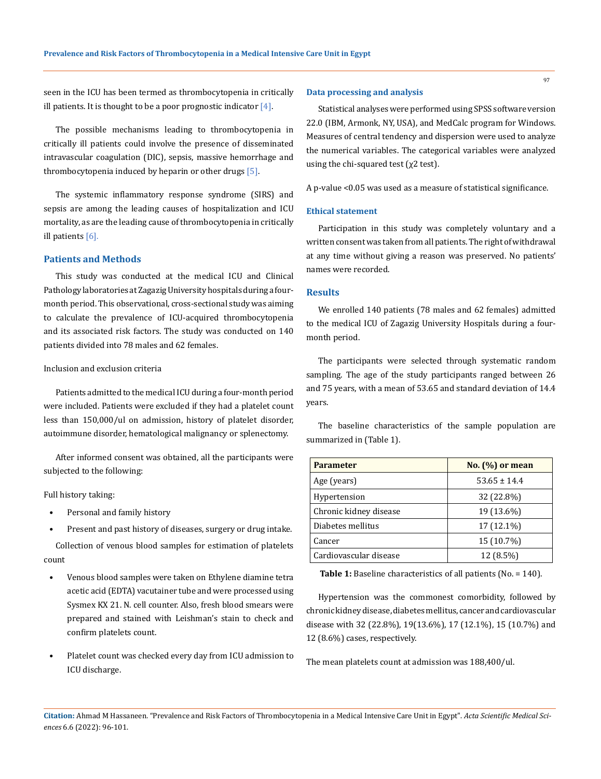seen in the ICU has been termed as thrombocytopenia in critically ill patients. It is thought to be a poor prognostic indicator  $[4]$ .

The possible mechanisms leading to thrombocytopenia in critically ill patients could involve the presence of disseminated intravascular coagulation (DIC), sepsis, massive hemorrhage and thrombocytopenia induced by heparin or other drugs [5].

The systemic inflammatory response syndrome (SIRS) and sepsis are among the leading causes of hospitalization and ICU mortality, as are the leading cause of thrombocytopenia in critically ill patients [6].

# **Patients and Methods**

This study was conducted at the medical ICU and Clinical Pathology laboratories at Zagazig University hospitals during a fourmonth period. This observational, cross-sectional study was aiming to calculate the prevalence of ICU-acquired thrombocytopenia and its associated risk factors. The study was conducted on 140 patients divided into 78 males and 62 females.

#### Inclusion and exclusion criteria

Patients admitted to the medical ICU during a four-month period were included. Patients were excluded if they had a platelet count less than 150,000/ul on admission, history of platelet disorder, autoimmune disorder, hematological malignancy or splenectomy.

After informed consent was obtained, all the participants were subjected to the following:

Full history taking:

- Personal and family history
- Present and past history of diseases, surgery or drug intake.

Collection of venous blood samples for estimation of platelets count

- Venous blood samples were taken on Ethylene diamine tetra acetic acid (EDTA) vacutainer tube and were processed using Sysmex KX 21. N. cell counter. Also, fresh blood smears were prepared and stained with Leishman's stain to check and confirm platelets count.
- Platelet count was checked every day from ICU admission to ICU discharge.

#### **Data processing and analysis**

Statistical analyses were performed using SPSS software version 22.0 (IBM, Armonk, NY, USA), and MedCalc program for Windows. Measures of central tendency and dispersion were used to analyze the numerical variables. The categorical variables were analyzed using the chi-squared test ( $\chi$ 2 test).

A p-value <0.05 was used as a measure of statistical significance.

#### **Ethical statement**

Participation in this study was completely voluntary and a written consent was taken from all patients. The right of withdrawal at any time without giving a reason was preserved. No patients' names were recorded.

#### **Results**

We enrolled 140 patients (78 males and 62 females) admitted to the medical ICU of Zagazig University Hospitals during a fourmonth period.

The participants were selected through systematic random sampling. The age of the study participants ranged between 26 and 75 years, with a mean of 53.65 and standard deviation of 14.4 years.

The baseline characteristics of the sample population are summarized in (Table 1).

| <b>Parameter</b>       | No. $(\%)$ or mean |
|------------------------|--------------------|
| Age (years)            | $53.65 \pm 14.4$   |
| Hypertension           | 32 (22.8%)         |
| Chronic kidney disease | 19 (13.6%)         |
| Diabetes mellitus      | 17 (12.1%)         |
| Cancer                 | 15 (10.7%)         |
| Cardiovascular disease | 12 (8.5%)          |

**Table 1:** Baseline characteristics of all patients (No. = 140).

Hypertension was the commonest comorbidity, followed by chronic kidney disease, diabetes mellitus, cancer and cardiovascular disease with 32 (22.8%), 19(13.6%), 17 (12.1%), 15 (10.7%) and 12 (8.6%) cases, respectively.

The mean platelets count at admission was 188,400/ul.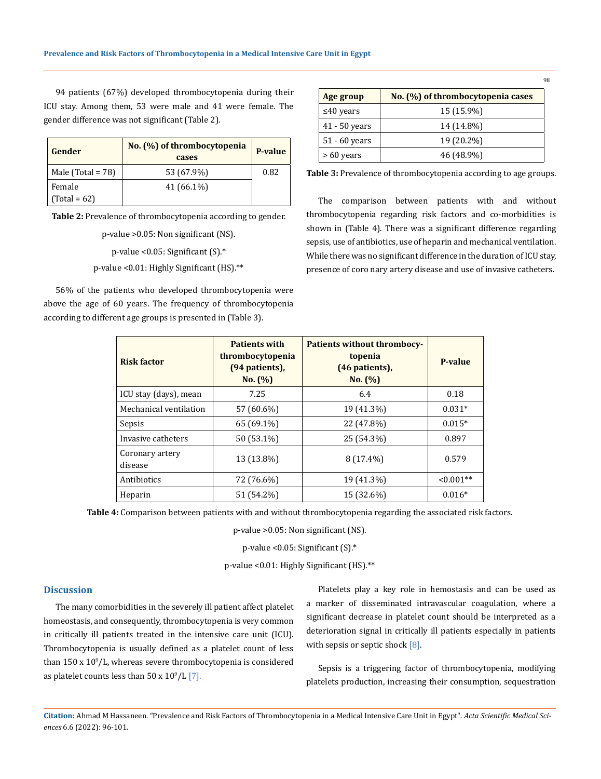94 patients (67%) developed thrombocytopenia during their ICU stay. Among them, 53 were male and 41 were female. The gender difference was not significant (Table 2).

| Gender                 | No. (%) of thrombocytopenia<br>cases | <b>P-value</b> |
|------------------------|--------------------------------------|----------------|
| Male (Total = $78$ )   | 53 (67.9%)                           | 0.82           |
| Female<br>$Total = 62$ | 41 (66.1%)                           |                |

**Table 2:** Prevalence of thrombocytopenia according to gender.

p-value >0.05: Non significant (NS). p-value <0.05: Significant (S).\*

p-value <0.01: Highly Significant (HS).\*\*

56% of the patients who developed thrombocytopenia were above the age of 60 years. The frequency of thrombocytopenia according to different age groups is presented in (Table 3).

| Age group       | No. (%) of thrombocytopenia cases |
|-----------------|-----------------------------------|
| $\leq 40$ years | 15 (15.9%)                        |
| $41 - 50$ years | 14 (14.8%)                        |
| $51 - 60$ years | 19 (20.2%)                        |
| $>60$ years     | 46 (48.9%)                        |

98

**Table 3:** Prevalence of thrombocytopenia according to age groups.

The comparison between patients with and without thrombocytopenia regarding risk factors and co-morbidities is shown in (Table 4). There was a significant difference regarding sepsis, use of antibiotics, use of heparin and mechanical ventilation. While there was no significant difference in the duration of ICU stay, presence of coro nary artery disease and use of invasive catheters.

| <b>Risk factor</b>         | <b>Patients with</b><br>thrombocytopenia<br>(94 patients),<br>No. (%) | <b>Patients without thrombocy-</b><br>topenia<br>(46 patients),<br>No. (%) | P-value     |
|----------------------------|-----------------------------------------------------------------------|----------------------------------------------------------------------------|-------------|
| ICU stay (days), mean      | 7.25                                                                  | 6.4                                                                        | 0.18        |
| Mechanical ventilation     | 57 (60.6%)                                                            | 19 (41.3%)                                                                 | $0.031*$    |
| Sepsis                     | 65 (69.1%)                                                            | 22 (47.8%)                                                                 | $0.015*$    |
| Invasive catheters         | 50 (53.1%)                                                            | 25 (54.3%)                                                                 | 0.897       |
| Coronary artery<br>disease | 13 (13.8%)                                                            | $8(17.4\%)$                                                                | 0.579       |
| Antibiotics                | 72 (76.6%)                                                            | 19 (41.3%)                                                                 | $< 0.001**$ |
| Heparin                    | 51 (54.2%)                                                            | 15 (32.6%)                                                                 | $0.016*$    |

**Table 4:** Comparison between patients with and without thrombocytopenia regarding the associated risk factors.

p-value >0.05: Non significant (NS).

p-value <0.05: Significant (S).\*

p-value <0.01: Highly Significant (HS).\*\*

# **Discussion**

The many comorbidities in the severely ill patient affect platelet homeostasis, and consequently, thrombocytopenia is very common in critically ill patients treated in the intensive care unit (ICU). Thrombocytopenia is usually defined as a platelet count of less than  $150$  x  $10^9$ /L, whereas severe thrombocytopenia is considered as platelet counts less than  $50 \times 10^9$ /L  $[7]$ .

Platelets play a key role in hemostasis and can be used as a marker of disseminated intravascular coagulation, where a significant decrease in platelet count should be interpreted as a deterioration signal in critically ill patients especially in patients with sepsis or septic shock [8].

Sepsis is a triggering factor of thrombocytopenia, modifying platelets production, increasing their consumption, sequestration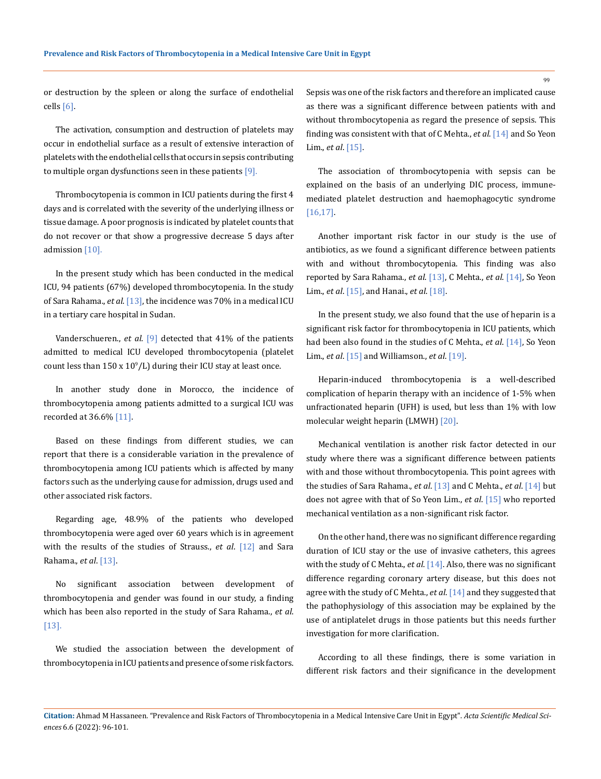or destruction by the spleen or along the surface of endothelial cells [6].

The activation, consumption and destruction of platelets may occur in endothelial surface as a result of extensive interaction of platelets with the endothelial cells that occurs in sepsis contributing to multiple organ dysfunctions seen in these patients [9].

Thrombocytopenia is common in ICU patients during the first 4 days and is correlated with the severity of the underlying illness or tissue damage. A poor prognosis is indicated by platelet counts that do not recover or that show a progressive decrease 5 days after admission [10].

In the present study which has been conducted in the medical ICU, 94 patients (67%) developed thrombocytopenia. In the study of Sara Rahama., *et al*. [13], the incidence was 70% in a medical ICU in a tertiary care hospital in Sudan.

Vanderschueren., *et al*. [9] detected that 41% of the patients admitted to medical ICU developed thrombocytopenia (platelet count less than  $150 \times 10^9$ /L) during their ICU stay at least once.

In another study done in Morocco, the incidence of thrombocytopenia among patients admitted to a surgical ICU was recorded at 36.6% [11].

Based on these findings from different studies, we can report that there is a considerable variation in the prevalence of thrombocytopenia among ICU patients which is affected by many factors such as the underlying cause for admission, drugs used and other associated risk factors.

Regarding age, 48.9% of the patients who developed thrombocytopenia were aged over 60 years which is in agreement with the results of the studies of Strauss., *et al*. [12] and Sara Rahama., *et al*. [13].

No significant association between development of thrombocytopenia and gender was found in our study, a finding which has been also reported in the study of Sara Rahama., *et al*. [13].

We studied the association between the development of thrombocytopenia in ICU patients and presence of some risk factors.

Sepsis was one of the risk factors and therefore an implicated cause as there was a significant difference between patients with and without thrombocytopenia as regard the presence of sepsis. This finding was consistent with that of C Mehta., *et al*. [14] and So Yeon Lim., *et al*. [15].

The association of thrombocytopenia with sepsis can be explained on the basis of an underlying DIC process, immunemediated platelet destruction and haemophagocytic syndrome [16,17].

Another important risk factor in our study is the use of antibiotics, as we found a significant difference between patients with and without thrombocytopenia. This finding was also reported by Sara Rahama., *et al*. [13], C Mehta., *et al*. [14], So Yeon Lim., *et al*. [15], and Hanai., *et al*. [18].

In the present study, we also found that the use of heparin is a significant risk factor for thrombocytopenia in ICU patients, which had been also found in the studies of C Mehta., *et al*. [14], So Yeon Lim., *et al*. [15] and Williamson., *et al*. [19].

Heparin-induced thrombocytopenia is a well-described complication of heparin therapy with an incidence of 1-5% when unfractionated heparin (UFH) is used, but less than 1% with low molecular weight heparin (LMWH) [20].

Mechanical ventilation is another risk factor detected in our study where there was a significant difference between patients with and those without thrombocytopenia. This point agrees with the studies of Sara Rahama., *et al*. [13] and C Mehta., *et al*. [14] but does not agree with that of So Yeon Lim., *et al*. [15] who reported mechanical ventilation as a non-significant risk factor.

On the other hand, there was no significant difference regarding duration of ICU stay or the use of invasive catheters, this agrees with the study of C Mehta., *et al.* [14]. Also, there was no significant difference regarding coronary artery disease, but this does not agree with the study of C Mehta., *et al*. [14] and they suggested that the pathophysiology of this association may be explained by the use of antiplatelet drugs in those patients but this needs further investigation for more clarification.

According to all these findings, there is some variation in different risk factors and their significance in the development

**99** 

**Citation:** Ahmad M Hassaneen*.* "Prevalence and Risk Factors of Thrombocytopenia in a Medical Intensive Care Unit in Egypt". *Acta Scientific Medical Sciences* 6.6 (2022): 96-101.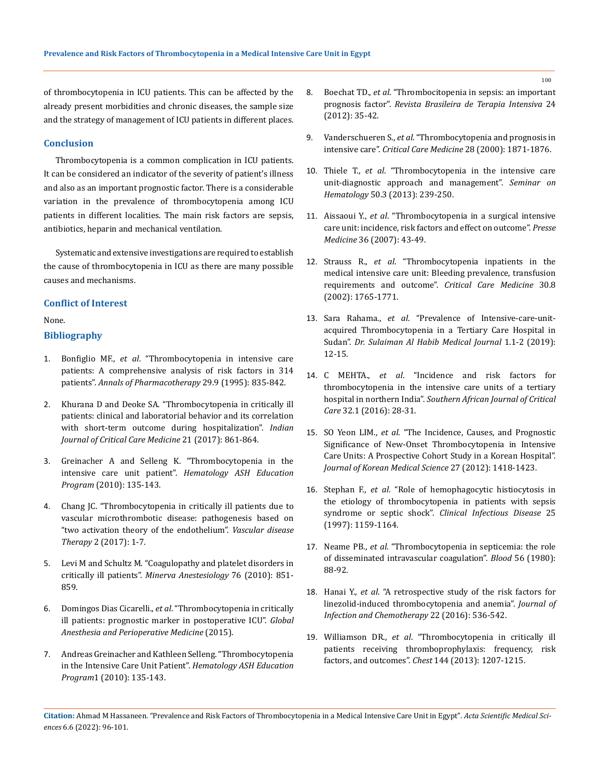of thrombocytopenia in ICU patients. This can be affected by the already present morbidities and chronic diseases, the sample size and the strategy of management of ICU patients in different places.

#### **Conclusion**

Thrombocytopenia is a common complication in ICU patients. It can be considered an indicator of the severity of patient's illness and also as an important prognostic factor. There is a considerable variation in the prevalence of thrombocytopenia among ICU patients in different localities. The main risk factors are sepsis, antibiotics, heparin and mechanical ventilation.

Systematic and extensive investigations are required to establish the cause of thrombocytopenia in ICU as there are many possible causes and mechanisms.

#### **Conflict of Interest**

None.

# **Bibliography**

- 1. Bonfiglio MF., *et al*[. "Thrombocytopenia in intensive care](https://pubmed.ncbi.nlm.nih.gov/8547728/)  [patients: A comprehensive analysis of risk factors in 314](https://pubmed.ncbi.nlm.nih.gov/8547728/)  patients". *[Annals of Pharmacotherapy](https://pubmed.ncbi.nlm.nih.gov/8547728/)* 29.9 (1995): 835-842.
- 2. [Khurana D and Deoke SA. "Thrombocytopenia in critically ill](https://pubmed.ncbi.nlm.nih.gov/29307969/)  [patients: clinical and laboratorial behavior and its correlation](https://pubmed.ncbi.nlm.nih.gov/29307969/)  [with short-term outcome during hospitalization".](https://pubmed.ncbi.nlm.nih.gov/29307969/) *Indian [Journal of Critical Care Medicine](https://pubmed.ncbi.nlm.nih.gov/29307969/)* 21 (2017): 861-864.
- 3. Greinacher A and Selleng K. "Thrombocytopenia in the intensive care unit patient". *Hematology ASH Education Program* (2010): 135-143.
- 4. [Chang JC. "Thrombocytopenia in critically ill patients due to](https://www.oatext.com/thrombocytopenia-in-critically-ill-patients-due-to-vascular-microthrombotic-disease-pathogenesis-based-on-two-activation-theory-of-the-endothelium.php)  [vascular microthrombotic disease: pathogenesis based on](https://www.oatext.com/thrombocytopenia-in-critically-ill-patients-due-to-vascular-microthrombotic-disease-pathogenesis-based-on-two-activation-theory-of-the-endothelium.php)  ["two activation theory of the endothelium".](https://www.oatext.com/thrombocytopenia-in-critically-ill-patients-due-to-vascular-microthrombotic-disease-pathogenesis-based-on-two-activation-theory-of-the-endothelium.php) *Vascular disease Therapy* [2 \(2017\): 1-7.](https://www.oatext.com/thrombocytopenia-in-critically-ill-patients-due-to-vascular-microthrombotic-disease-pathogenesis-based-on-two-activation-theory-of-the-endothelium.php)
- 5. [Levi M and Schultz M. "Coagulopathy and platelet disorders in](https://pubmed.ncbi.nlm.nih.gov/20935621/)  critically ill patients". *[Minerva Anestesiology](https://pubmed.ncbi.nlm.nih.gov/20935621/)* 76 (2010): 851- [859.](https://pubmed.ncbi.nlm.nih.gov/20935621/)
- 6. Domingos Dias Cicarelli., *et al*[. "Thrombocytopenia in critically](https://www.oatext.com/Thrombocytopenia-in-critically-ill-patients-prognostic-marker-in-postoperative-ICU.php)  [ill patients: prognostic marker in postoperative ICU".](https://www.oatext.com/Thrombocytopenia-in-critically-ill-patients-prognostic-marker-in-postoperative-ICU.php) *Global [Anesthesia and Perioperative Medicine](https://www.oatext.com/Thrombocytopenia-in-critically-ill-patients-prognostic-marker-in-postoperative-ICU.php)* (2015).
- 7. Andreas Greinacher and Kathleen Selleng. "Thrombocytopenia in the Intensive Care Unit Patient". *Hematology ASH Education Program*1 (2010): 135-143.
- 8. Boechat TD., *et al*[. "Thrombocitopenia in sepsis: an important](https://pubmed.ncbi.nlm.nih.gov/23917711/)  prognosis factor". *[Revista Brasileira de Terapia Intensiva](https://pubmed.ncbi.nlm.nih.gov/23917711/)* 24 [\(2012\): 35-42.](https://pubmed.ncbi.nlm.nih.gov/23917711/)
- 9. Vanderschueren S., *et al*[. "Thrombocytopenia and prognosis in](https://pubmed.ncbi.nlm.nih.gov/10890635/)  intensive care". *[Critical Care Medicine](https://pubmed.ncbi.nlm.nih.gov/10890635/)* 28 (2000): 1871-1876.
- 10. Thiele T., *et al*[. "Thrombocytopenia in the intensive care](https://pubmed.ncbi.nlm.nih.gov/23953341/)  [unit-diagnostic approach and management".](https://pubmed.ncbi.nlm.nih.gov/23953341/) *Seminar on Hematology* [50.3 \(2013\): 239-250.](https://pubmed.ncbi.nlm.nih.gov/23953341/)
- 11. Aissaoui Y., *et al*. "Thrombocytopenia in a surgical intensive care unit: incidence, risk factors and effect on outcome". *Presse Medicine* 36 (2007): 43-49.
- 12. Strauss R., *et al*[. "Thrombocytopenia inpatients in the](https://pubmed.ncbi.nlm.nih.gov/12163790/)  [medical intensive care unit: Bleeding prevalence, transfusion](https://pubmed.ncbi.nlm.nih.gov/12163790/)  [requirements and outcome".](https://pubmed.ncbi.nlm.nih.gov/12163790/) *Critical Care Medicine* 30.8 [\(2002\): 1765-1771.](https://pubmed.ncbi.nlm.nih.gov/12163790/)
- 13. Sara Rahama., *et al*. "Prevalence of Intensive-care-unitacquired Thrombocytopenia in a Tertiary Care Hospital in Sudan". *Dr. Sulaiman Al Habib Medical Journal* 1.1-2 (2019): 12-15.
- 14. C MEHTA., *et al*[. "Incidence and risk factors for](http://www.scielo.org.za/scielo.php?script=sci_arttext&pid=S1562-82642016000100007)  [thrombocytopenia in the intensive care units of a tertiary](http://www.scielo.org.za/scielo.php?script=sci_arttext&pid=S1562-82642016000100007)  hospital in northern India". *[Southern African Journal of Critical](http://www.scielo.org.za/scielo.php?script=sci_arttext&pid=S1562-82642016000100007)  Care* [32.1 \(2016\): 28-31.](http://www.scielo.org.za/scielo.php?script=sci_arttext&pid=S1562-82642016000100007)
- 15. SO Yeon LIM., *et al*[. "The Incidence, Causes, and Prognostic](https://www.ncbi.nlm.nih.gov/pmc/articles/PMC3492680/)  [Significance of New-Onset Thrombocytopenia in Intensive](https://www.ncbi.nlm.nih.gov/pmc/articles/PMC3492680/)  [Care Units: A Prospective Cohort Study in a Korean Hospital".](https://www.ncbi.nlm.nih.gov/pmc/articles/PMC3492680/)  *[Journal of Korean Medical Science](https://www.ncbi.nlm.nih.gov/pmc/articles/PMC3492680/)* 27 (2012): 1418-1423.
- 16. Stephan F., *et al*[. "Role of hemophagocytic histiocytosis in](https://academic.oup.com/cid/article/25/5/1159/341323)  [the etiology of thrombocytopenia in patients with sepsis](https://academic.oup.com/cid/article/25/5/1159/341323)  syndrome or septic shock". *[Clinical Infectious Disease](https://academic.oup.com/cid/article/25/5/1159/341323)* 25 [\(1997\): 1159-1164.](https://academic.oup.com/cid/article/25/5/1159/341323)
- 17. Neame PB., *et al*[. "Thrombocytopenia in septicemia: the role](https://pubmed.ncbi.nlm.nih.gov/6446336/)  [of disseminated intravascular coagulation".](https://pubmed.ncbi.nlm.nih.gov/6446336/) *Blood* 56 (1980): [88-92.](https://pubmed.ncbi.nlm.nih.gov/6446336/)
- 18. Hanai Y., *et al*[. "A retrospective study of the risk factors for](https://pubmed.ncbi.nlm.nih.gov/27321773/)  [linezolid-induced thrombocytopenia and anemia".](https://pubmed.ncbi.nlm.nih.gov/27321773/) *Journal of [Infection and Chemotherapy](https://pubmed.ncbi.nlm.nih.gov/27321773/)* 22 (2016): 536-542.
- 19. Williamson DR., *et al*[. "Thrombocytopenia in critically ill](https://pubmed.ncbi.nlm.nih.gov/23788287/)  [patients receiving thromboprophylaxis: frequency, risk](https://pubmed.ncbi.nlm.nih.gov/23788287/)  factors, and outcomes". *Chest* [144 \(2013\): 1207-1215.](https://pubmed.ncbi.nlm.nih.gov/23788287/)

100

**Citation:** Ahmad M Hassaneen*.* "Prevalence and Risk Factors of Thrombocytopenia in a Medical Intensive Care Unit in Egypt". *Acta Scientific Medical Sciences* 6.6 (2022): 96-101.